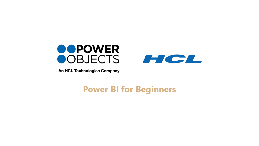

An HCL Technologies Company



# **Power BI for Beginners**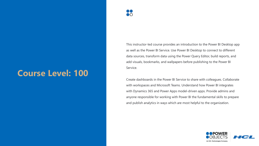# **Course Level: 100**

This instructor-led course provides an introduction to the Power BI Desktop app as well as the Power BI Service. Use Power BI Desktop to connect to different data sources, transform data using the Power Query Editor, build reports, and add visuals, bookmarks, and wallpapers before publishing to the Power BI Service.

Create dashboards in the Power BI Service to share with colleagues. Collaborate with workspaces and Microsoft Teams. Understand how Power BI integrates with Dynamics 365 and Power Apps model-driven apps. Provide admins and anyone responsible for working with Power BI the fundamental skills to prepare and publish analytics in ways which are most helpful to the organization.

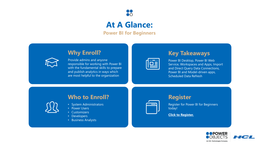

## **At A Glance:**

**Power BI for Beginners**

## **Why Enroll?**



Provide admins and anyone responsible for working with Power BI with the fundamental skills to prepare and publish analytics in ways which are most helpful to the organization

## **Key Takeaways**

Power BI Desktop, Power BI Web Service, Workspaces and Apps, Import and Direct Query Data Connections, Power BI and Model-driven apps, Scheduled Data Refresh

## **Who to Enroll?**

- System Administrators
- Power Users
- Customizers
- Developers
- Business Analysts



### **Register**

Register for Power BI for Beginners today!

**[Click to Register.](https://education.powerobjects.com/collections/power-bi)**

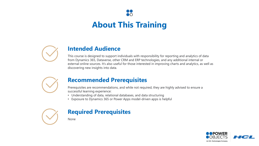# **About This Training**

 $\mathsf{D}\mathsf{O}$ 



## **Intended Audience**

This course is designed to support individuals with responsibility for reporting and analytics of data from Dynamics 365, Dataverse, other CRM and ERP technologies, and any additional internal or external online sources. It's also useful for those interested in improving charts and analytics, as well as discovering new insights into data.



### **Recommended Prerequisites**

Prerequisites are recommendations, and while not required, they are highly advised to ensure a successful learning experience:

- Understanding of data, relational databases, and data structuring
- Exposure to Dynamics 365 or Power Apps model-driven apps is helpful



## **Required Prerequisites**

None

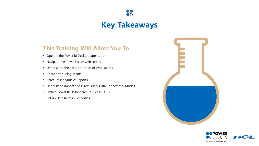# **Key Takeaways**

88

## **This Training Will Allow You To:**

- Operate the Power BI Desktop application
- Navigate the PowerBI.com web service
- Understand the basic principles of Workspaces
- Collaborate using Teams
- Share Dashboards & Reports
- Understand Import and DirectQuery Data Connectivity Modes
- Embed Power BI Dashboards & Tiles in D365
- Set up Data Refresh Schedules



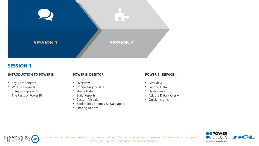

### **SESSION 1**

#### **INTRODUCTION TO POWER BI**

#### **POWER BI DESKTOP**

- Key Components
- What is Power BI?
- 5 Key Components
- The Parts of Power BI

#### • Overview

- Connecting to Data
- Shape Data
- Build Reports
- Custom Visuals
- Bookmarks, Themes & Wallpapers
- Sharing Report

#### **POWER BI SERVICE**

- Overview
- Getting Data
- Dashboards
- Ask the Data  $-$  Q & A
- Quick Insights





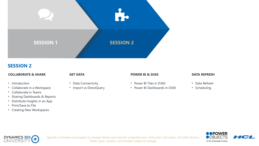

### **SESSION 2**

• Introduction

#### **COLLABORATE & SHARE**

#### **GET DATA**

- Data Connectivity
- Import vs DirectQuery

#### **POWER BI & D365**

- Power BI Tiles in D365
- Power BI Dashboards in D365
- **DATA REFRESH**
- Data Refresh
- Scheduling

### • Collaborate in Teams

- Sharing Dashboards & Reports
- Distribute Insights in an App

• Collaborate in a Workspace

• Print/Save to File

DYNAMICS 365

• Creating New Workspaces